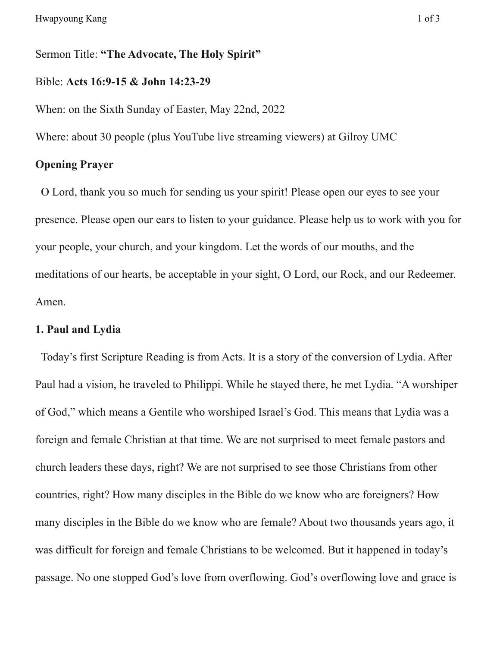Sermon Title: **"The Advocate, The Holy Spirit"**

#### Bible: **Acts 16:9-15 & John 14:23-29**

When: on the Sixth Sunday of Easter, May 22nd, 2022

Where: about 30 people (plus YouTube live streaming viewers) at Gilroy UMC

# **Opening Prayer**

O Lord, thank you so much for sending us your spirit! Please open our eyes to see your presence. Please open our ears to listen to your guidance. Please help us to work with you for your people, your church, and your kingdom. Let the words of our mouths, and the meditations of our hearts, be acceptable in your sight, O Lord, our Rock, and our Redeemer. Amen.

## **1. Paul and Lydia**

Today's first Scripture Reading is from Acts. It is a story of the conversion of Lydia. After Paul had a vision, he traveled to Philippi. While he stayed there, he met Lydia. "A worshiper of God," which means a Gentile who worshiped Israel's God. This means that Lydia was a foreign and female Christian at that time. We are not surprised to meet female pastors and church leaders these days, right? We are not surprised to see those Christians from other countries, right? How many disciples in the Bible do we know who are foreigners? How many disciples in the Bible do we know who are female? About two thousands years ago, it was difficult for foreign and female Christians to be welcomed. But it happened in today's passage. No one stopped God's love from overflowing. God's overflowing love and grace is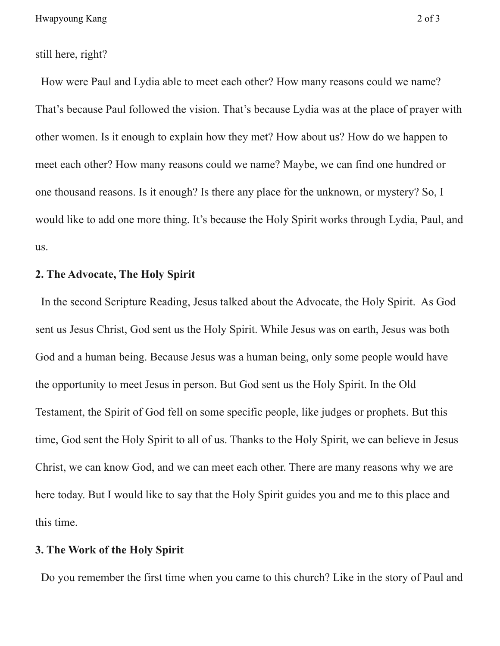still here, right?

How were Paul and Lydia able to meet each other? How many reasons could we name? That's because Paul followed the vision. That's because Lydia was at the place of prayer with other women. Is it enough to explain how they met? How about us? How do we happen to meet each other? How many reasons could we name? Maybe, we can find one hundred or one thousand reasons. Is it enough? Is there any place for the unknown, or mystery? So, I would like to add one more thing. It's because the Holy Spirit works through Lydia, Paul, and us.

## **2. The Advocate, The Holy Spirit**

In the second Scripture Reading, Jesus talked about the Advocate, the Holy Spirit. As God sent us Jesus Christ, God sent us the Holy Spirit. While Jesus was on earth, Jesus was both God and a human being. Because Jesus was a human being, only some people would have the opportunity to meet Jesus in person. But God sent us the Holy Spirit. In the Old Testament, the Spirit of God fell on some specific people, like judges or prophets. But this time, God sent the Holy Spirit to all of us. Thanks to the Holy Spirit, we can believe in Jesus Christ, we can know God, and we can meet each other. There are many reasons why we are here today. But I would like to say that the Holy Spirit guides you and me to this place and this time.

#### **3. The Work of the Holy Spirit**

Do you remember the first time when you came to this church? Like in the story of Paul and